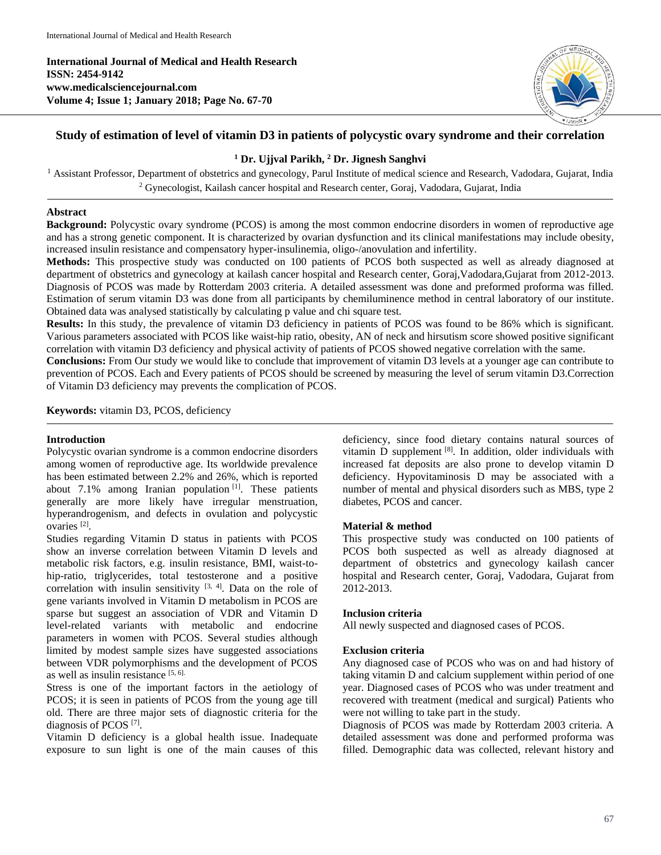**International Journal of Medical and Health Research ISSN: 2454-9142 www.medicalsciencejournal.com Volume 4; Issue 1; January 2018; Page No. 67-70**



# **Study of estimation of level of vitamin D3 in patients of polycystic ovary syndrome and their correlation**

## **<sup>1</sup> Dr. Ujjval Parikh, <sup>2</sup> Dr. Jignesh Sanghvi**

<sup>1</sup> Assistant Professor, Department of obstetrics and gynecology, Parul Institute of medical science and Research, Vadodara, Gujarat, India <sup>2</sup> Gynecologist, Kailash cancer hospital and Research center, Goraj, Vadodara, Gujarat, India

## **Abstract**

**Background:** Polycystic ovary syndrome (PCOS) is among the most common endocrine disorders in women of reproductive age and has a strong genetic component. It is characterized by ovarian dysfunction and its clinical manifestations may include obesity, increased insulin resistance and compensatory hyper-insulinemia, oligo-/anovulation and infertility.

**Methods:** This prospective study was conducted on 100 patients of PCOS both suspected as well as already diagnosed at department of obstetrics and gynecology at kailash cancer hospital and Research center, Goraj,Vadodara,Gujarat from 2012-2013. Diagnosis of PCOS was made by Rotterdam 2003 criteria. A detailed assessment was done and preformed proforma was filled. Estimation of serum vitamin D3 was done from all participants by chemiluminence method in central laboratory of our institute. Obtained data was analysed statistically by calculating p value and chi square test.

**Results:** In this study, the prevalence of vitamin D3 deficiency in patients of PCOS was found to be 86% which is significant. Various parameters associated with PCOS like waist-hip ratio, obesity, AN of neck and hirsutism score showed positive significant correlation with vitamin D3 deficiency and physical activity of patients of PCOS showed negative correlation with the same.

**Conclusions:** From Our study we would like to conclude that improvement of vitamin D3 levels at a younger age can contribute to prevention of PCOS. Each and Every patients of PCOS should be screened by measuring the level of serum vitamin D3.Correction of Vitamin D3 deficiency may prevents the complication of PCOS.

**Keywords:** vitamin D3, PCOS, deficiency

## **Introduction**

Polycystic ovarian syndrome is a common endocrine disorders among women of reproductive age. Its worldwide prevalence has been estimated between 2.2% and 26%, which is reported about  $7.1\%$  among Iranian population  $^{[1]}$ . These patients generally are more likely have irregular menstruation, hyperandrogenism, and defects in ovulation and polycystic ovaries [2] .

Studies regarding Vitamin D status in patients with PCOS show an inverse correlation between Vitamin D levels and metabolic risk factors, e.g. insulin resistance, BMI, waist-tohip-ratio, triglycerides, total testosterone and a positive correlation with insulin sensitivity  $[3, 4]$ . Data on the role of gene variants involved in Vitamin D metabolism in PCOS are sparse but suggest an association of VDR and Vitamin D level-related variants with metabolic and endocrine parameters in women with PCOS. Several studies although limited by modest sample sizes have suggested associations between VDR polymorphisms and the development of PCOS as well as insulin resistance  $[5, 6]$ .

Stress is one of the important factors in the aetiology of PCOS; it is seen in patients of PCOS from the young age till old. There are three major sets of diagnostic criteria for the diagnosis of PCOS<sup>[7]</sup>.

Vitamin D deficiency is a global health issue. Inadequate exposure to sun light is one of the main causes of this deficiency, since food dietary contains natural sources of vitamin  $\overrightarrow{D}$  supplement  $^{[8]}$ . In addition, older individuals with increased fat deposits are also prone to develop vitamin D deficiency. Hypovitaminosis D may be associated with a number of mental and physical disorders such as MBS, type 2 diabetes, PCOS and cancer.

## **Material & method**

This prospective study was conducted on 100 patients of PCOS both suspected as well as already diagnosed at department of obstetrics and gynecology kailash cancer hospital and Research center, Goraj, Vadodara, Gujarat from 2012-2013.

## **Inclusion criteria**

All newly suspected and diagnosed cases of PCOS.

#### **Exclusion criteria**

Any diagnosed case of PCOS who was on and had history of taking vitamin D and calcium supplement within period of one year. Diagnosed cases of PCOS who was under treatment and recovered with treatment (medical and surgical) Patients who were not willing to take part in the study.

Diagnosis of PCOS was made by Rotterdam 2003 criteria. A detailed assessment was done and performed proforma was filled. Demographic data was collected, relevant history and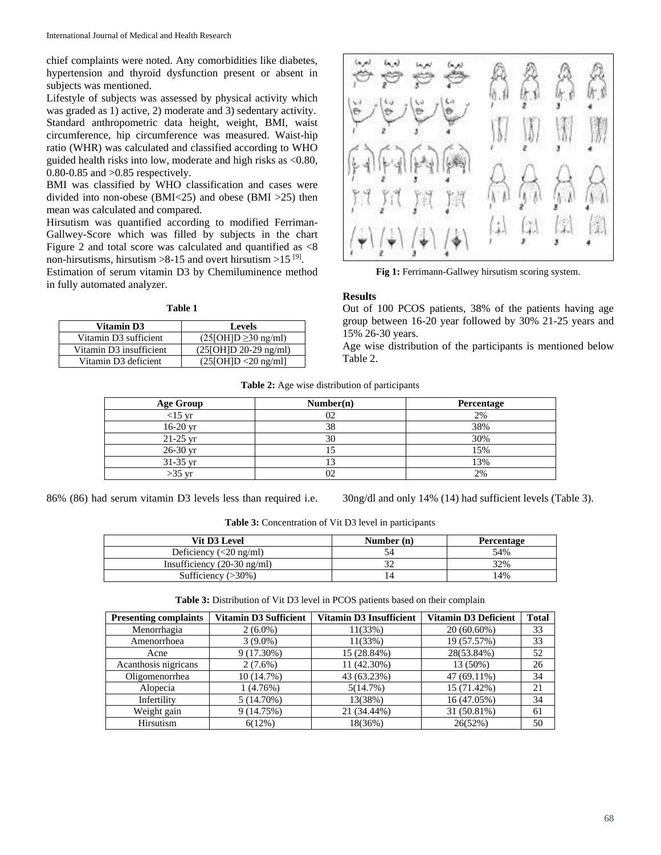chief complaints were noted. Any comorbidities like diabetes, hypertension and thyroid dysfunction present or absent in subjects was mentioned.

Lifestyle of subjects was assessed by physical activity which was graded as 1) active, 2) moderate and 3) sedentary activity. Standard anthropometric data height, weight, BMI, waist circumference, hip circumference was measured. Waist-hip ratio (WHR) was calculated and classified according to WHO guided health risks into low, moderate and high risks as <0.80, 0.80-0.85 and >0.85 respectively.

BMI was classified by WHO classification and cases were divided into non-obese (BMI<25) and obese (BMI >25) then mean was calculated and compared.

Hirsutism was quantified according to modified Ferriman-Gallwey-Score which was filled by subjects in the chart Figure 2 and total score was calculated and quantified as <8 non-hirsutisms, hirsutism  $>8-15$  and overt hirsutism  $>15^{9}$ .

Estimation of serum vitamin D3 by Chemiluminence method in fully automated analyzer.

#### **Table 1**

| Vitamin D3              | <b>Levels</b>            |
|-------------------------|--------------------------|
| Vitamin D3 sufficient   | $(25[OH]D \ge 30$ ng/ml) |
| Vitamin D3 insufficient | $(25[OH]D 20-29$ ng/ml)  |
| Vitamin D3 deficient    | $(25[OH]D < 20$ ng/ml]   |



**Fig 1:** Ferrimann-Gallwey hirsutism scoring system.

#### **Results**

Out of 100 PCOS patients, 38% of the patients having age group between 16-20 year followed by 30% 21-25 years and 15% 26-30 years.

Age wise distribution of the participants is mentioned below Table 2.

| Table 2: Age wise distribution of participants |
|------------------------------------------------|
|------------------------------------------------|

| <b>Age Group</b> | Number(n) | Percentage |
|------------------|-----------|------------|
| $<$ 15 yr        |           | 2%         |
| 16-20 yr         | 38        | 38%        |
| $21-25$ yr       | 30        | 30%        |
| 26-30 yr         | - 1       | 15%        |
| 31-35 yr         |           | 13%        |
| $>35$ yr         |           | 2%         |

86% (86) had serum vitamin D3 levels less than required i.e. 30ng/dl and only 14% (14) had sufficient levels (Table 3).

**Table 3:** Concentration of Vit D3 level in participants

| Vit D3 Level                                       | Number $(n)$ | <b>Percentage</b> |
|----------------------------------------------------|--------------|-------------------|
| Deficiency $\left(\langle 20 \text{ ng/ml}\right)$ |              | 54%               |
| Insufficiency $(20-30 \text{ ng/ml})$              |              | 32%               |
| Sufficiency $(>30\%)$                              |              | 14%               |

**Table 3:** Distribution of Vit D3 level in PCOS patients based on their complain

| <b>Presenting complaints</b> | <b>Vitamin D3 Sufficient</b> | <b>Vitamin D3 Insufficient</b> | <b>Vitamin D3 Deficient</b> | <b>Total</b> |
|------------------------------|------------------------------|--------------------------------|-----------------------------|--------------|
| Menorrhagia                  | $2(6.0\%)$                   | 11(33%)                        | $20(60.60\%)$               | 33           |
| Amenorrhoea                  | $3(9.0\%)$                   | 11(33%)                        | 19 (57.57%)                 | 33           |
| Acne                         | $9(17.30\%)$                 | 15 (28.84%)                    | 28(53.84%)                  | 52           |
| Acanthosis nigricans         | $2(7.6\%)$                   | 11 (42.30%)                    | 13 (50%)                    | 26           |
| Oligomenorrhea               | 10(14.7%)                    | 43 (63.23%)                    | 47 (69.11%)                 | 34           |
| Alopecia                     | 1(4.76%)                     | 5(14.7%)                       | 15 (71.42%)                 | 21           |
| Infertility                  | $5(14.70\%)$                 | 13(38%)                        | 16 (47.05%)                 | 34           |
| Weight gain                  | 9 (14.75%)                   | 21 (34.44%)                    | 31 (50.81%)                 | 61           |
| Hirsutism                    | 6(12%)                       | 18(36%)                        | 26(52%)                     | 50           |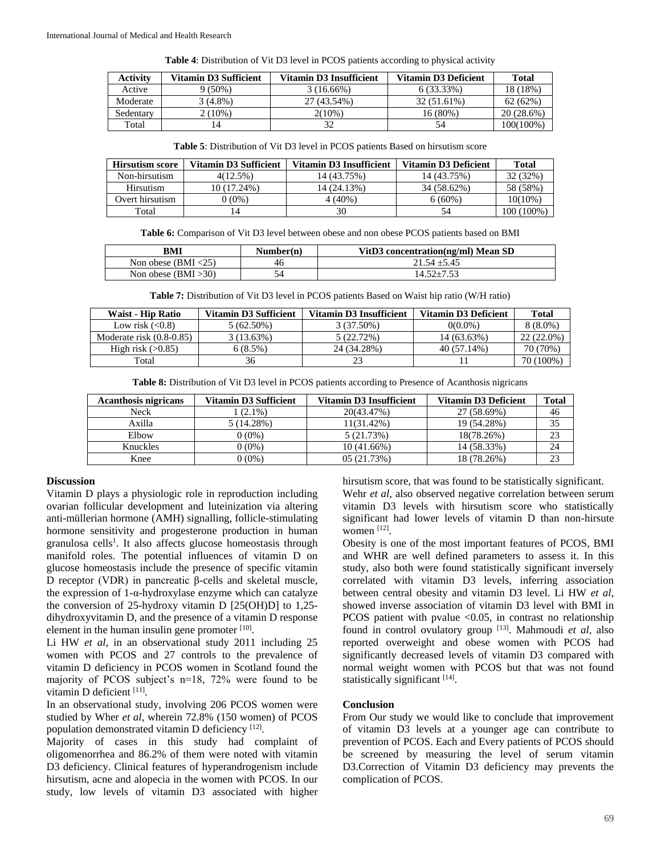| Table 4: Distribution of Vit D3 level in PCOS patients according to physical activity |  |  |
|---------------------------------------------------------------------------------------|--|--|
|---------------------------------------------------------------------------------------|--|--|

| Activity  | Vitamin D3 Sufficient | Vitamin D3 Insufficient | <b>Vitamin D3 Deficient</b> | Total      |
|-----------|-----------------------|-------------------------|-----------------------------|------------|
| Active    | $9(50\%)$             | $3(16.66\%)$            | 6 (33.33%)                  | 18 (18%)   |
| Moderate  | $3(4.8\%)$            | 27 (43.54%)             | 32 (51.61%)                 | 62(62%)    |
| Sedentary | $2(10\%)$             | $2(10\%)$               | 16 (80%)                    | 20 (28.6%) |
| Total     | 14                    |                         | 54                          | 100(100%)  |

| <b>Hirsutism score</b> | Vitamin D3 Sufficient | Vitamin D3 Insufficient | <b>Vitamin D3 Deficient</b> | Total      |
|------------------------|-----------------------|-------------------------|-----------------------------|------------|
| Non-hirsutism          | 4(12.5%)              | 14 (43.75%)             | 14 (43.75%)                 | 32 (32%)   |
| Hirsutism              | 10 (17.24%)           | 14 (24.13%)             | 34 (58.62%)                 | 58 (58%)   |
| Overt hirsutism        | $(0\%)$               | 4 (40%)                 | $6(60\%)$                   | $10(10\%)$ |
| Total                  | 4                     | 30                      | 54                          | 100 (100%) |

**Table 6:** Comparison of Vit D3 level between obese and non obese PCOS patients based on BMI

| BMI                    | Number(n) | VitD3 concentration(ng/ml) Mean SD |
|------------------------|-----------|------------------------------------|
| Non obese $(BMI < 25)$ | 46        | $21.54 + 5.45$                     |
| Non obese $(BMI > 30)$ |           | $14.52 + 7.53$                     |

**Table 7:** Distribution of Vit D3 level in PCOS patients Based on Waist hip ratio (W/H ratio)

| <b>Waist - Hip Ratio</b>   | <b>Vitamin D3 Sufficient</b> | Vitamin D3 Insufficient | <b>Vitamin D3 Deficient</b> | <b>Total</b> |
|----------------------------|------------------------------|-------------------------|-----------------------------|--------------|
| Low risk $(<0.8)$          | $5(62.50\%)$                 | 3 (37.50%)              | $0(0.0\%)$                  | $8(8.0\%)$   |
| Moderate risk $(0.8-0.85)$ | 3(13.63%)                    | 5 (22.72%)              | 14 (63.63%)                 | $22(22.0\%)$ |
| High risk $(>0.85)$        | 6 (8.5%)                     | 24 (34.28%)             | 40 (57.14%)                 | 70 (70%)     |
| Total                      | 36                           | 23                      |                             | 70 (100%)    |

**Table 8:** Distribution of Vit D3 level in PCOS patients according to Presence of Acanthosis nigricans

| <b>Acanthosis nigricans</b> | Vitamin D3 Sufficient | Vitamin D3 Insufficient | <b>Vitamin D3 Deficient</b> | <b>Total</b> |
|-----------------------------|-----------------------|-------------------------|-----------------------------|--------------|
| Neck                        | $(2.1\%)$             | 20(43.47%)              | 27 (58.69%)                 | 46           |
| Axilla                      | 5(14.28%)             | $11(31.42\%)$           | 19 (54.28%)                 | 35           |
| Elbow                       | $0(0\%)$              | 5(21.73%)               | 18(78.26%)                  | 23           |
| Knuckles                    | $0(0\%)$              | $10(41.66\%)$           | 14 (58.33%)                 | 24           |
| Knee                        | $0(0\%)$              | 05(21.73%)              | 18 (78.26%)                 |              |

#### **Discussion**

Vitamin D plays a physiologic role in reproduction including ovarian follicular development and luteinization via altering anti-müllerian hormone (AMH) signalling, follicle-stimulating hormone sensitivity and progesterone production in human granulosa cells<sup>1</sup>. It also affects glucose homeostasis through manifold roles. The potential influences of vitamin D on glucose homeostasis include the presence of specific vitamin D receptor (VDR) in pancreatic β-cells and skeletal muscle, the expression of 1-α-hydroxylase enzyme which can catalyze the conversion of 25-hydroxy vitamin D [25(OH)D] to 1,25 dihydroxyvitamin D, and the presence of a vitamin D response element in the human insulin gene promoter  $[10]$ .

Li HW *et al*, in an observational study 2011 including 25 women with PCOS and 27 controls to the prevalence of vitamin D deficiency in PCOS women in Scotland found the majority of PCOS subject's n=18, 72% were found to be vitamin D deficient [11].

In an observational study, involving 206 PCOS women were studied by Wher *et al*, wherein 72.8% (150 women) of PCOS population demonstrated vitamin D deficiency [12].

Majority of cases in this study had complaint of oligomenorrhea and 86.2% of them were noted with vitamin D3 deficiency. Clinical features of hyperandrogenism include hirsutism, acne and alopecia in the women with PCOS. In our study, low levels of vitamin D3 associated with higher hirsutism score, that was found to be statistically significant. Wehr *et al*, also observed negative correlation between serum vitamin D3 levels with hirsutism score who statistically significant had lower levels of vitamin D than non-hirsute women<sup>[12]</sup>.

Obesity is one of the most important features of PCOS, BMI and WHR are well defined parameters to assess it. In this study, also both were found statistically significant inversely correlated with vitamin D3 levels, inferring association between central obesity and vitamin D3 level. Li HW *et al*, showed inverse association of vitamin D3 level with BMI in PCOS patient with pvalue  $< 0.05$ , in contrast no relationship found in control ovulatory group [13] . Mahmoudi *et al*, also reported overweight and obese women with PCOS had significantly decreased levels of vitamin D3 compared with normal weight women with PCOS but that was not found statistically significant [14].

#### **Conclusion**

From Our study we would like to conclude that improvement of vitamin D3 levels at a younger age can contribute to prevention of PCOS. Each and Every patients of PCOS should be screened by measuring the level of serum vitamin D3.Correction of Vitamin D3 deficiency may prevents the complication of PCOS.